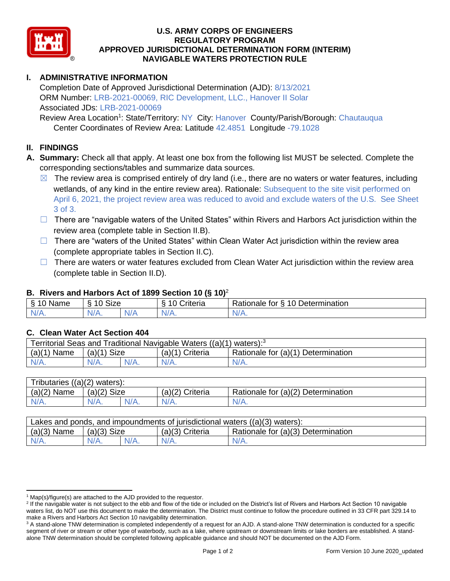

#### **U.S. ARMY CORPS OF ENGINEERS REGULATORY PROGRAM APPROVED JURISDICTIONAL DETERMINATION FORM (INTERIM) NAVIGABLE WATERS PROTECTION RULE**

## **I. ADMINISTRATIVE INFORMATION**

Completion Date of Approved Jurisdictional Determination (AJD): 8/13/2021 ORM Number: LRB-2021-00069, RIC Development, LLC., Hanover II Solar Associated JDs: LRB-2021-00069

Review Area Location<sup>1</sup>: State/Territory: NY City: Hanover County/Parish/Borough: Chautauqua Center Coordinates of Review Area: Latitude 42.4851 Longitude -79.1028

#### **II. FINDINGS**

- **A. Summary:** Check all that apply. At least one box from the following list MUST be selected. Complete the corresponding sections/tables and summarize data sources.
	- $\boxtimes$  The review area is comprised entirely of dry land (i.e., there are no waters or water features, including wetlands, of any kind in the entire review area). Rationale: Subsequent to the site visit performed on April 6, 2021, the project review area was reduced to avoid and exclude waters of the U.S. See Sheet 3 of 3.
	- ☐ There are "navigable waters of the United States" within Rivers and Harbors Act jurisdiction within the review area (complete table in Section II.B).
	- □ There are "waters of the United States" within Clean Water Act jurisdiction within the review area (complete appropriate tables in Section II.C).
	- $\Box$  There are waters or water features excluded from Clean Water Act jurisdiction within the review area (complete table in Section II.D).

## **B. Rivers and Harbors Act of 1899 Section 10 (§ 10)**<sup>2</sup>

|                             |                                                                    |            | $\cdot$              |                                           |
|-----------------------------|--------------------------------------------------------------------|------------|----------------------|-------------------------------------------|
| Name                        | $\ddot{\phantom{1}}$<br>$\sim$<br>SIZE<br>$\overline{\phantom{a}}$ |            | triteria<br>. .<br>∼ | ∽<br>10 Determination<br>Rationale<br>tor |
| в.<br>AM 7<br><b>MILLER</b> | N/A                                                                | AU.<br>. . | N/t                  | 'NL                                       |

#### **C. Clean Water Act Section 404**

| Territorial Seas and Traditional Navigable Waters $((a)(1)$ waters): <sup>3</sup> |                |  |                 |                                    |  |
|-----------------------------------------------------------------------------------|----------------|--|-----------------|------------------------------------|--|
| (a)(1)<br>Name                                                                    | Size<br>(a)(1) |  | (a)(1) Criteria | Rationale for (a)(1) Determination |  |
| N/A.                                                                              | $N/A$ .        |  | $N/A$ .         | $N/A$ .                            |  |

| Tributaries,<br>$((a)(2)$ waters): |                |         |                    |                                    |  |
|------------------------------------|----------------|---------|--------------------|------------------------------------|--|
| $(a)(2)$ Name                      | Size<br>(a)(2) |         | (a)(2)<br>Criteria | Rationale for (a)(2) Determination |  |
| $N/A$ .                            | $N/A$ .        | $N/A$ . | $N/A$ .            | $N/A$ .                            |  |

| Lakes and ponds, and impoundments of jurisdictional waters $((a)(3)$ waters): |               |  |                 |                                    |  |
|-------------------------------------------------------------------------------|---------------|--|-----------------|------------------------------------|--|
| $(a)(3)$ Name                                                                 | $(a)(3)$ Size |  | (a)(3) Criteria | Rationale for (a)(3) Determination |  |
|                                                                               | $N/A$ .       |  | $N/A$ .         | $N/A$ .                            |  |

 $1$  Map(s)/figure(s) are attached to the AJD provided to the requestor.

<sup>&</sup>lt;sup>2</sup> If the navigable water is not subject to the ebb and flow of the tide or included on the District's list of Rivers and Harbors Act Section 10 navigable waters list, do NOT use this document to make the determination. The District must continue to follow the procedure outlined in 33 CFR part 329.14 to make a Rivers and Harbors Act Section 10 navigability determination.

<sup>&</sup>lt;sup>3</sup> A stand-alone TNW determination is completed independently of a request for an AJD. A stand-alone TNW determination is conducted for a specific segment of river or stream or other type of waterbody, such as a lake, where upstream or downstream limits or lake borders are established. A standalone TNW determination should be completed following applicable guidance and should NOT be documented on the AJD Form.